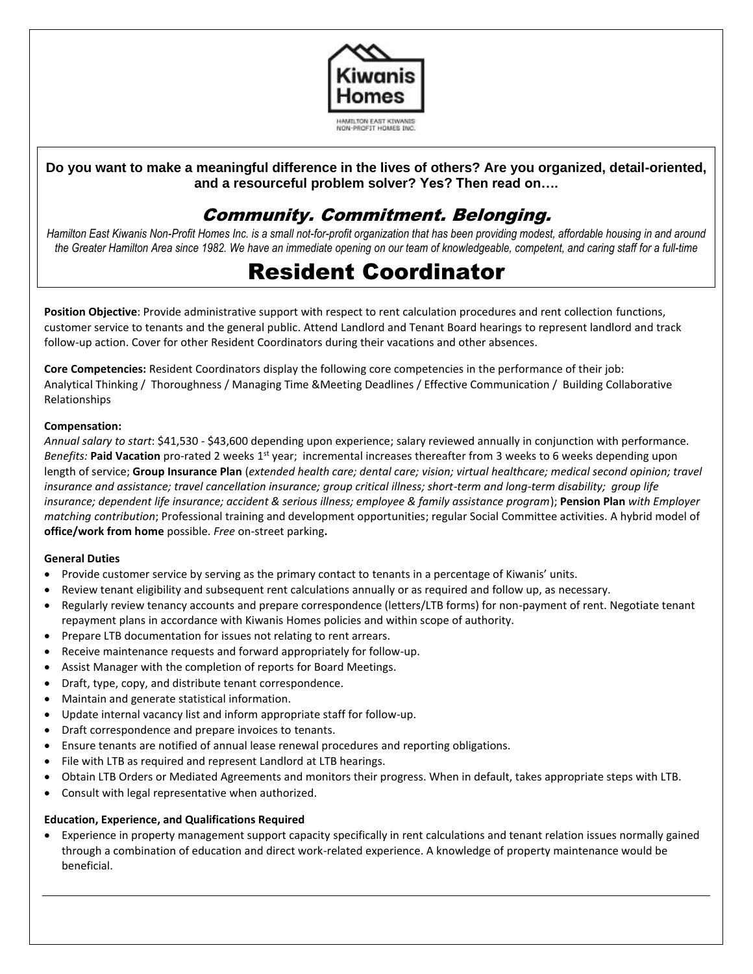

### **Do you want to make a meaningful difference in the lives of others? Are you organized, detail-oriented, and a resourceful problem solver? Yes? Then read on….**

## Community. Commitment. Belonging.

*Hamilton East Kiwanis Non-Profit Homes Inc. is a small not-for-profit organization that has been providing modest, affordable housing in and around the Greater Hamilton Area since 1982. We have an immediate opening on our team of knowledgeable, competent, and caring staff for a full-time*

# Resident Coordinator

**Position Objective**: Provide administrative support with respect to rent calculation procedures and rent collection functions, customer service to tenants and the general public. Attend Landlord and Tenant Board hearings to represent landlord and track follow-up action. Cover for other Resident Coordinators during their vacations and other absences.

**Core Competencies:** Resident Coordinators display the following core competencies in the performance of their job: Analytical Thinking / Thoroughness / Managing Time &Meeting Deadlines / Effective Communication / Building Collaborative Relationships

#### **Compensation:**

*Annual salary to start*: \$41,530 - \$43,600 depending upon experience; salary reviewed annually in conjunction with performance. Benefits: Paid Vacation pro-rated 2 weeks 1<sup>st</sup> year; incremental increases thereafter from 3 weeks to 6 weeks depending upon length of service; **Group Insurance Plan** (*extended health care; dental care; vision; virtual healthcare; medical second opinion; travel insurance and assistance; travel cancellation insurance; group critical illness; short-term and long-term disability; group life insurance; dependent life insurance; accident & serious illness; employee & family assistance program*); **Pension Plan** *with Employer matching contribution*; Professional training and development opportunities; regular Social Committee activities. A hybrid model of **office/work from home** possible. *Free* on-street parking**.**

#### **General Duties**

- Provide customer service by serving as the primary contact to tenants in a percentage of Kiwanis' units.
- Review tenant eligibility and subsequent rent calculations annually or as required and follow up, as necessary.
- Regularly review tenancy accounts and prepare correspondence (letters/LTB forms) for non-payment of rent. Negotiate tenant repayment plans in accordance with Kiwanis Homes policies and within scope of authority.
- Prepare LTB documentation for issues not relating to rent arrears.
- Receive maintenance requests and forward appropriately for follow-up.
- Assist Manager with the completion of reports for Board Meetings.
- Draft, type, copy, and distribute tenant correspondence.
- Maintain and generate statistical information.
- Update internal vacancy list and inform appropriate staff for follow-up.
- Draft correspondence and prepare invoices to tenants.
- Ensure tenants are notified of annual lease renewal procedures and reporting obligations.
- File with LTB as required and represent Landlord at LTB hearings.
- Obtain LTB Orders or Mediated Agreements and monitors their progress. When in default, takes appropriate steps with LTB.
- Consult with legal representative when authorized.

#### **Education, Experience, and Qualifications Required**

• Experience in property management support capacity specifically in rent calculations and tenant relation issues normally gained through a combination of education and direct work-related experience. A knowledge of property maintenance would be beneficial.